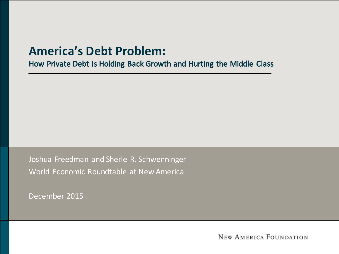#### **America's Debt Problem:**

How Private Debt Is Holding Back Growth and Hurting the Middle Class

Joshua Freedman and Sherle R. Schwenninger World Economic Roundtable at New America

December 2015

**NEW AMERICA FOUNDATION**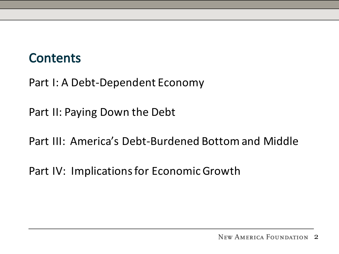#### **Contents**

Part I: A Debt-Dependent Economy

Part II: Paying Down the Debt

Part III: America's Debt-Burdened Bottom and Middle

Part IV: Implications for Economic Growth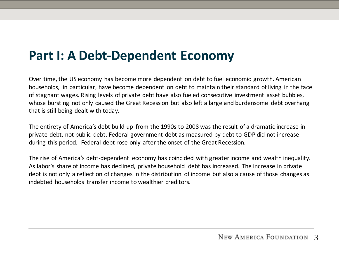#### **Part I: A Debt-Dependent Economy**

Over time, the US economy has become more dependent on debt to fuel economic growth. American households, in particular, have become dependent on debt to maintain their standard of living in the face of stagnant wages. Rising levels of private debt have also fueled consecutive investment asset bubbles, whose bursting not only caused the Great Recession but also left a large and burdensome debt overhang that is still being dealt with today.

The entirety of America's debt build-up from the 1990s to 2008 was the result of a dramatic increase in private debt, not public debt. Federal government debt as measured by debt to GDP did not increase during this period. Federal debt rose only after the onset of the Great Recession.

The rise of America's debt-dependent economy has coincided with greater income and wealth inequality. As labor's share of income has declined, private household debt has increased. The increase in private debt is not only a reflection of changes in the distribution of income but also a cause of those changes as indebted households transfer income to wealthier creditors.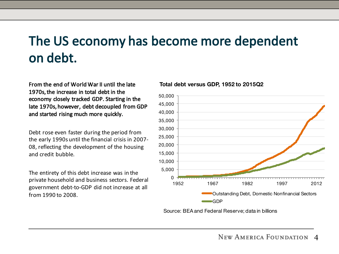## The US economy has become more dependent on debt.

From the end of World War II until the late 1970s, the increase in total debt in the economy closely tracked GDP. Starting in the late 1970s, however, debt decoupled from GDP and started rising much more quickly.

Debt rose even faster during the period from the early 1990s until the financial crisis in 2007-08, reflecting the development of the housing and credit bubble.

The entirety of this debt increase was in the private household and business sectors. Federal government debt-to-GDP did not increase at all from 1990 to 2008.

#### **Total debt versus GDP, 1952 to 2015Q2**



Source: BEA and Federal Reserve; data in billions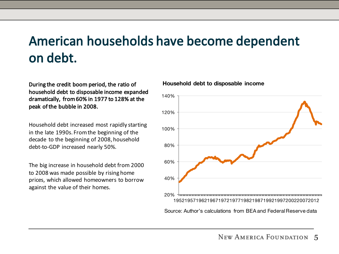# American households have become dependent on debt.

During the credit boom period, the ratio of household debt to disposable income expanded dramatically, from 60% in 1977 to 128% at the peak of the bubble in 2008.

Household debt increased most rapidly starting in the late 1990s. From the beginning of the decade to the beginning of 2008, household debt-to-GDP increased nearly 50%.

The big increase in household debt from 2000 to 2008 was made possible by rising home prices, which allowed homeowners to borrow against the value of their homes.



#### **Household debt to disposable income**

Source: Author's calculations from BEA and Federal Reserve data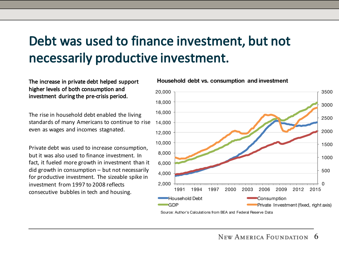## Debt was used to finance investment, but not necessarily productive investment.

#### The increase in private debt helped support higher levels of both consumption and investment during the pre-crisis period.

The rise in household debt enabled the living standards of many Americans to continue to rise even as wages and incomes stagnated.

Private debt was used to increase consumption, but it was also used to finance investment. In fact, it fueled more growth in investment than it  $did$  growth in consumption  $-$  but not necessarily for productive investment. The sizeable spike in investment from 1997 to 2008 reflects consecutive bubbles in tech and housing.

#### **Household debt vs. consumption and investment**



Source: Author's Calculations from BEA and Federal Reserve Data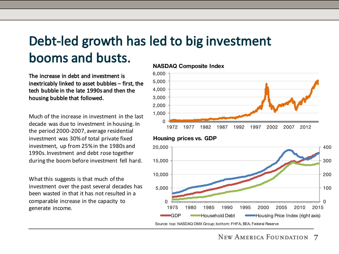## Debt-led growth has led to big investment booms and busts.

The increase in debt and investment is inextricably linked to asset bubbles  $-$  first, the tech bubble in the late 1990s and then the housing bubble that followed.

Much of the increase in investment in the last decade was due to investment in housing. In the period 2000-2007, average residential investment was 30% of total private fixed investment, up from 25% in the 1980s and 1990s. Investment and debt rose together during the boom before investment fell hard.

What this suggests is that much of the investment over the past several decades has been wasted in that it has not resulted in a comparable increase in the capacity to generate income.

#### **NASDAQ Composite Index**







Source: top: NASDAQ OMX Group; bottom: FHFA, BEA, Federal Reserve

7 **NEW AMERICA FOUNDATION**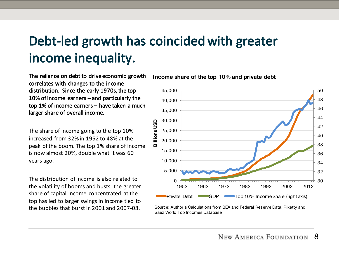# Debt-led growth has coincided with greater income inequality.

The reliance on debt to drive economic growth correlates with changes to the income distribution. Since the early 1970s, the top 10% of income earners  $-$  and particularly the top 1% of income earners – have taken a much larger share of overall income.

The share of income going to the top 10% increased from 32% in 1952 to 48% at the peak of the boom. The top 1% share of income is now almost 20%, double what it was 60 years ago.

The distribution of income is also related to the volatility of booms and busts: the greater share of capital income concentrated at the top has led to larger swings in income tied to the bubbles that burst in 2001 and 2007-08.



**Income share of the top 10% and private debt**

Source: Author's Calculations from BEA and Federal Reserve Data, Piketty and Saez World Top Incomes Database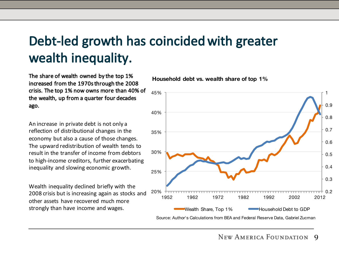# Debt-led growth has coincided with greater wealth inequality.

The share of wealth owned by the top 1% increased from the 1970s through the 2008 crisis. The top 1% now owns more than 40% of the wealth, up from a quarter four decades ago.

An increase in private debt is not only a reflection of distributional changes in the economy but also a cause of those changes. The upward redistribution of wealth tends to result in the transfer of income from debtors to high-income creditors, further exacerbating inequality and slowing economic growth.

Wealth inequality declined briefly with the 2008 crisis but is increasing again as stocks and other assets have recovered much more strongly than have income and wages.

**Household debt vs. wealth share of top 1%**



NEW AMERICA FOUNDATION  $\mathbf Q$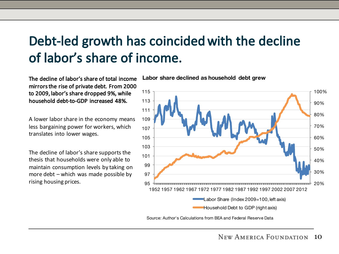#### Debt-led growth has coincided with the decline of labor's share of income.

The decline of labor's share of total income mirrors the rise of private debt. From 2000 to 2009, labor's share dropped 9%, while household debt-to-GDP increased 48%.

A lower labor share in the economy means less bargaining power for workers, which translates into lower wages.

The decline of labor's share supports the thesis that households were only able to maintain consumption levels by taking on more  $debt - which was made possible by$ rising housing prices.

**Labor share declined as household debt grew**



Source: Author's Calculations from BEA and Federal Reserve Data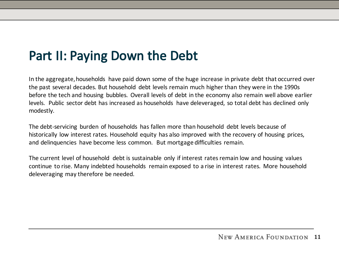### Part II: Paying Down the Debt

In the aggregate, households have paid down some of the huge increase in private debt that occurred over the past several decades. But household debt levels remain much higher than they were in the 1990s before the tech and housing bubbles. Overall levels of debt in the economy also remain well above earlier levels. Public sector debt has increased as households have deleveraged, so total debt has declined only modestly.

The debt-servicing burden of households has fallen more than household debt levels because of historically low interest rates. Household equity has also improved with the recovery of housing prices, and delinquencies have become less common. But mortgage difficulties remain.

The current level of household debt is sustainable only if interest rates remain low and housing values continue to rise. Many indebted households remain exposed to a rise in interest rates. More household deleveraging may therefore be needed.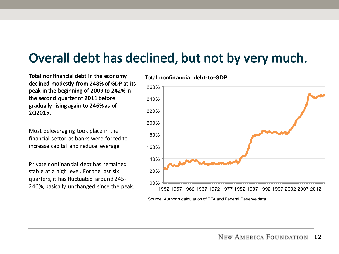#### Overall debt has declined, but not by very much.

Total nonfinancial debt in the economy declined modestly from 248% of GDP at its peak in the beginning of 2009 to 242% in the second quarter of 2011 before gradually rising again to 246% as of 2Q2015.

Most deleveraging took place in the financial sector as banks were forced to increase capital and reduce leverage.

Private nonfinancial debt has remained stable at a high level. For the last six quarters, it has fluctuated around 245-246%, basically unchanged since the peak.



#### **Total nonfinancial debt-to-GDP**

Source: Author's calculation of BEA and Federal Reserve data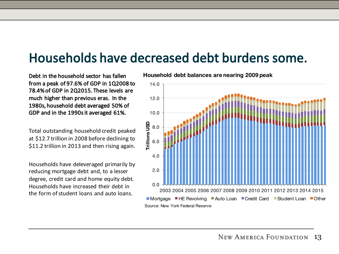#### Households have decreased debt burdens some.

Debt in the household sector has fallen from a peak of 97.6% of GDP in 1Q2008 to 78.4% of GDP in 2Q2015. These levels are much higher than previous eras. In the 1980s, household debt averaged 50% of GDP and in the 1990s it averaged 61%.

Total outstanding household credit peaked at \$12.7 trillion in 2008 before declining to \$11.2 trillion in 2013 and then rising again.

Households have deleveraged primarily by reducing mortgage debt and, to a lesser degree, credit card and home equity debt. Households have increased their debt in the form of student loans and auto loans.

**Household debt balances are nearing 2009 peak**

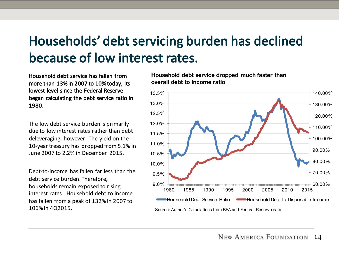# Households' debt servicing burden has declined because of low interest rates.

Household debt service has fallen from more than 13% in 2007 to 10% today, its lowest level since the Federal Reserve began calculating the debt service ratio in 1980.

The low debt service burden is primarily due to low interest rates rather than debt deleveraging, however. The yield on the 10-year treasury has dropped from 5.1% in June 2007 to 2.2% in December 2015.

Debt-to-income has fallen far less than the debt service burden. Therefore, households remain exposed to rising interest rates. Household debt to income has fallen from a peak of 132% in 2007 to 106% in 4Q2015.

**Household debt service dropped much faster than overall debt to income ratio**



Source: Author's Calculations from BEA and Federal Reserve data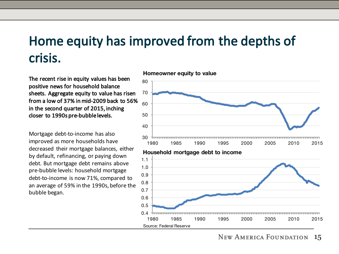#### Home equity has improved from the depths of crisis.

Source: Federal Reserve

The recent rise in equity values has been positive news for household balance sheets. Aggregate equity to value has risen from a low of 37% in mid-2009 back to 56% in the second quarter of 2015, inching closer to 1990s pre-bubble levels.

Mortgage debt-to-income has also improved as more households have decreased their mortgage balances, either by default, refinancing, or paying down debt. But mortgage debt remains above pre-bubble levels: household mortgage debt-to-income is now 71%, compared to an average of 59% in the 1990s, before the bubble began.



**Homeowner equity to value**

**NEW AMERICA FOUNDATION** 15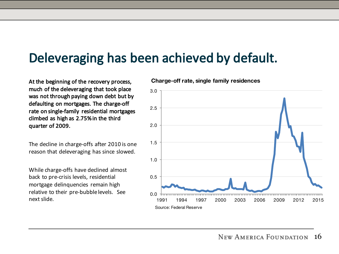#### Deleveraging has been achieved by default.

At the beginning of the recovery process, much of the deleveraging that took place was not through paying down debt but by defaulting on mortgages. The charge-off rate on single-family residential mortgages climbed as high as 2.75% in the third quarter of 2009.

The decline in charge-offs after 2010 is one reason that deleveraging has since slowed.

While charge-offs have declined almost back to pre-crisis levels, residential mortgage delinquencies remain high relative to their pre-bubble levels. See next slide.

**Charge-off rate, single family residences**

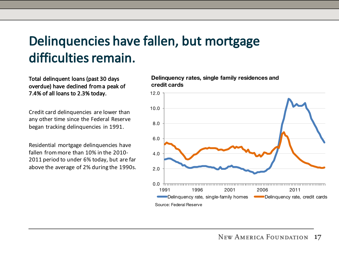# Delinquencies have fallen, but mortgage difficulties remain.

Total delinquent loans (past 30 days overdue) have declined from a peak of 7.4% of all loans to 2.3% today.

Credit card delinquencies are lower than any other time since the Federal Reserve began tracking delinquencies in 1991.

Residential mortgage delinquencies have fallen from more than 10% in the 2010-2011 period to under 6% today, but are far above the average of 2% during the 1990s. **Delinquency rates, single family residences and credit cards**

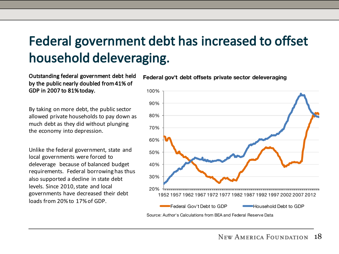# Federal government debt has increased to offset household deleveraging.

Outstanding federal government debt held by the public nearly doubled from 41% of GDP in 2007 to 81% today.

By taking on more debt, the public sector allowed private households to pay down as much debt as they did without plunging the economy into depression.

Unlike the federal government, state and local governments were forced to deleverage because of balanced budget requirements. Federal borrowing has thus also supported a decline in state debt levels. Since 2010, state and local governments have decreased their debt loads from 20% to 17% of GDP.



**Federal gov't debt offsets private sector deleveraging**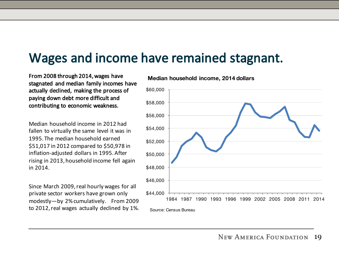#### Wages and income have remained stagnant.

From 2008 through 2014, wages have stagnated and median family incomes have actually declined, making the process of paying down debt more difficult and contributing to economic weakness.

Median household income in 2012 had fallen to virtually the same level it was in 1995. The median household earned \$51,017 in 2012 compared to \$50,978 in inflation-adjusted dollars in 1995. After rising in 2013, household income fell again in 2014.

Since March 2009, real hourly wages for all private sector workers have grown only modestly-by 2% cumulatively. From 2009 to 2012, real wages actually declined by 1%.



#### **Median household income, 2014 dollars**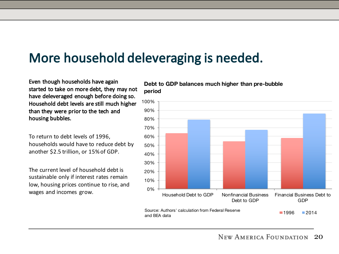#### More household deleveraging is needed.

Even though households have again started to take on more debt, they may not have deleveraged enough before doing so. Household debt levels are still much higher than they were prior to the tech and housing bubbles.

To return to debt levels of 1996, households would have to reduce debt by another \$2.5 trillion, or 15% of GDP.

The current level of household debt is sustainable only if interest rates remain low, housing prices continue to rise, and wages and incomes grow.

**Debt to GDP balances much higher than pre-bubble period**

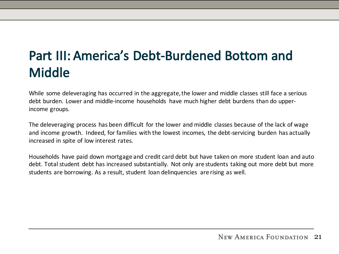# Part III: America's Debt-Burdened Bottom and Middle

While some deleveraging has occurred in the aggregate, the lower and middle classes still face a serious debt burden. Lower and middle-income households have much higher debt burdens than do upperincome groups.

The deleveraging process has been difficult for the lower and middle classes because of the lack of wage and income growth. Indeed, for families with the lowest incomes, the debt-servicing burden has actually increased in spite of low interest rates.

Households have paid down mortgage and credit card debt but have taken on more student loan and auto debt. Total student debt has increased substantially. Not only are students taking out more debt but more students are borrowing. As a result, student loan delinguencies are rising as well.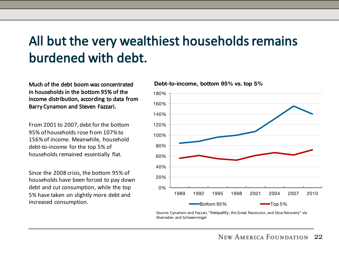### All but the very wealthiest households remains burdened with debt.

Much of the debt boom was concentrated in households in the bottom 95% of the income distribution, according to data from Barry Cynamon and Steven Fazzari.

From 2001 to 2007, debt for the bottom 95% of households rose from 107% to 156% of income. Meanwhile, household debt-to-income for the top 5% of households remained essentially flat.

Since the 2008 crisis, the bottom 95% of households have been forced to pay down debt and cut consumption, while the top 5% have taken on slightly more debt and increased consumption.

**Debt-to-income, bottom 95% vs. top 5%**



Source: Cynamon and Fazzari, "Inequality, the Great Recession, and Slow Recovery" via Sherraden and Schwenninger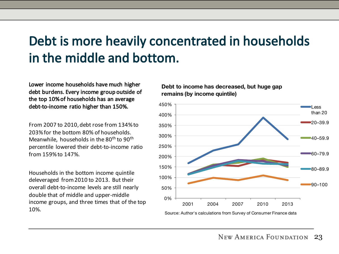### Debt is more heavily concentrated in households in the middle and bottom.

Lower income households have much higher debt burdens. Every income group outside of the top 10% of households has an average debt-to-income ratio higher than 150%.

From 2007 to 2010, debt rose from 134% to 203% for the bottom 80% of households. Meanwhile, households in the  $80<sup>th</sup>$  to  $90<sup>th</sup>$ percentile lowered their debt-to-income ratio from 159% to 147%.

Households in the bottom income quintile deleveraged from 2010 to 2013. But their overall debt-to-income levels are still nearly double that of middle and upper-middle income groups, and three times that of the top 10%.

**Debt to income has decreased, but huge gap remains (by income quintile)**



Source: Author's calculations from Survey of Consumer Finance data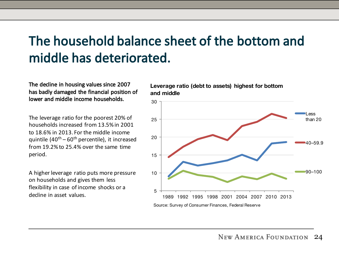## The household balance sheet of the bottom and middle has deteriorated.

The decline in housing values since 2007 has badly damaged the financial position of lower and middle income households.

The leverage ratio for the poorest 20% of households increased from 13.5% in 2001 to 18.6% in 2013. For the middle income quintile  $(40^{th} - 60^{th})$  percentile), it increased from  $19.2\%$  to  $25.4\%$  over the same time period.

A higher leverage ratio puts more pressure on households and gives them less flexibility in case of income shocks or a decline in asset values.

**Leverage ratio (debt to assets) highest for bottom and middle**

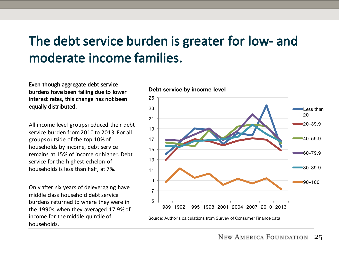## The debt service burden is greater for low- and moderate income families.

Even though aggregate debt service burdens have been falling due to lower interest rates, this change has not been equally distributed.

All income level groups reduced their debt service burden from 2010 to 2013. For all groups outside of the top 10% of households by income, debt service remains at 15% of income or higher. Debt service for the highest echelon of households is less than half, at 7%.

Only after six years of deleveraging have middle class household debt service burdens returned to where they were in the 1990s, when they averaged 17.9% of income for the middle quintile of households.

#### **Debt service by income level**

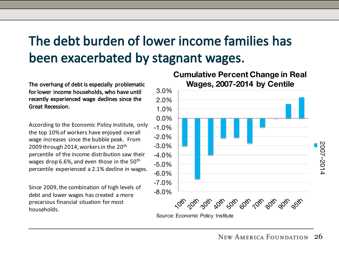# The debt burden of lower income families has been exacerbated by stagnant wages.

The overhang of debt is especially problematic for lower income households, who have until recently experienced wage declines since the Great Recession.

According to the Economic Policy Institute, only the top 10% of workers have enjoyed overall wage increases since the bubble peak. From 2009 through 2014, workers in the  $20<sup>th</sup>$ percentile of the income distribution saw their wages drop 6.6%, and even those in the  $50<sup>th</sup>$ percentile experienced a 2.1% decline in wages.

Since 2009, the combination of high levels of debt and lower wages has created a more precarious financial situation for most households.

#### **Cumulative Percent Change in Real Wages, 2007-2014 by Centile**



Source: Economic Policy Institute

2007

–2014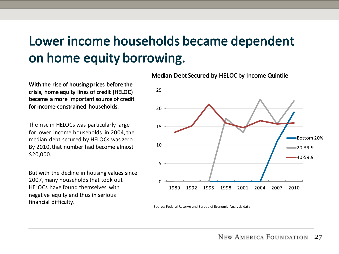# Lower income households became dependent on home equity borrowing.

With the rise of housing prices before the crisis, home equity lines of credit (HELOC) became a more important source of credit for income-constrained households.

The rise in HELOCs was particularly large for lower income households: in 2004, the median debt secured by HELOCs was zero. By 2010, that number had become almost \$20,000.

But with the decline in housing values since 2007, many households that took out HELOCs have found themselves with negative equity and thus in serious financial difficulty.

Median Debt Secured by HELOC by Income Quintile



Source: Federal Reserve and Bureau of Economic Analysis data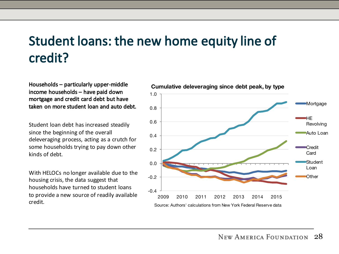# Student loans: the new home equity line of credit?

Households – particularly upper-middle income households - have paid down mortgage and credit card debt but have taken on more student loan and auto debt.

Student loan debt has increased steadily since the beginning of the overall deleveraging process, acting as a crutch for some households trying to pay down other kinds of debt.

With HELOCs no longer available due to the housing crisis, the data suggest that households have turned to student loans to provide a new source of readily available credit.

**Cumulative deleveraging since debt peak, by type**

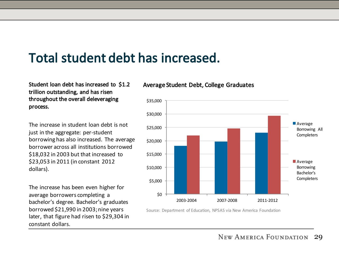## Total student debt has increased.

Student loan debt has increased to \$1.2 trillion outstanding, and has risen throughout the overall deleveraging process.

The increase in student loan debt is not just in the aggregate: per-student borrowing has also increased. The average borrower across all institutions borrowed \$18,032 in 2003 but that increased to \$23,053 in 2011 (in constant 2012 dollars).

The increase has been even higher for average borrowers completing a bachelor's degree. Bachelor's graduates borrowed \$21,990 in 2003; nine years later, that figure had risen to \$29,304 in constant dollars.





Source: Department of Education, NPSAS via New America Foundation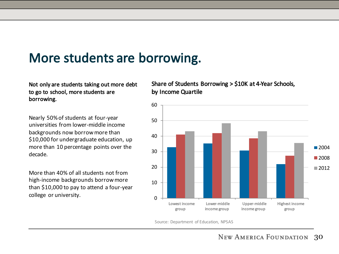#### More students are borrowing.

Not only are students taking out more debt to go to school, more students are borrowing.

Nearly 50% of students at four-year universities from lower-middle income backgrounds now borrow more than \$10,000 for undergraduate education, up more than 10 percentage points over the decade.

More than 40% of all students not from high-income backgrounds borrow more than  $$10,000$  to pay to attend a four-year college or university.

Share of Students Borrowing  $>$  \$10K at 4-Year Schools, by Income Quartile



Source: Department of Education, NPSAS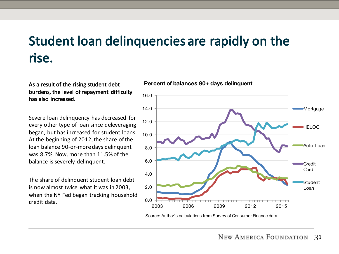#### Student loan delinquencies are rapidly on the rise.

As a result of the rising student debt burdens, the level of repayment difficulty has also increased.

Severe loan delinguency has decreased for every other type of loan since deleveraging began, but has increased for student loans. At the beginning of 2012, the share of the loan balance 90-or-more days delinquent was 8.7%. Now, more than 11.5% of the balance is severely delinguent.

The share of delinguent student loan debt is now almost twice what it was in 2003, when the NY Fed began tracking household credit data.





Source: Author's calculations from Survey of Consumer Finance data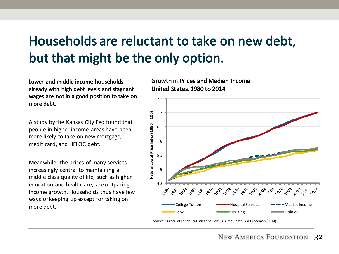# Households are reluctant to take on new debt, but that might be the only option.

Lower and middle income households already with high debt levels and stagnant wages are not in a good position to take on more debt.

A study by the Kansas City Fed found that people in higher income areas have been more likely to take on new mortgage, credit card, and HELOC debt.

Meanwhile, the prices of many services increasingly central to maintaining a middle class quality of life, such as higher education and healthcare, are outpacing income growth. Households thus have few ways of keeping up except for taking on more debt.

Growth in Prices and Median Income United States, 1980 to 2014



Source: Bureau of Labor Statistics and Census Bureau data, via Freedman (2014)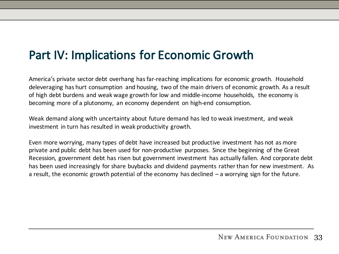#### Part IV: Implications for Economic Growth

America's private sector debt overhang has far-reaching implications for economic growth. Household deleveraging has hurt consumption and housing, two of the main drivers of economic growth. As a result of high debt burdens and weak wage growth for low and middle-income households, the economy is becoming more of a plutonomy, an economy dependent on high-end consumption.

Weak demand along with uncertainty about future demand has led to weak investment, and weak investment in turn has resulted in weak productivity growth.

Even more worrying, many types of debt have increased but productive investment has not as more private and public debt has been used for non-productive purposes. Since the beginning of the Great Recession, government debt has risen but government investment has actually fallen. And corporate debt has been used increasingly for share buybacks and dividend payments rather than for new investment. As a result, the economic growth potential of the economy has declined  $-$  a worrying sign for the future.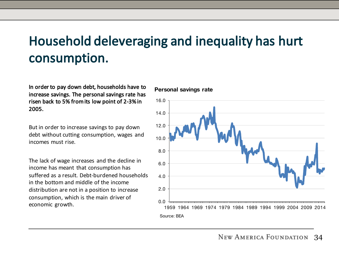### Household deleveraging and inequality has hurt consumption.

In order to pay down debt, households have to increase savings. The personal savings rate has risen back to 5% from its low point of 2-3% in 2005.

But in order to increase savings to pay down debt without cutting consumption, wages and incomes must rise.

The lack of wage increases and the decline in income has meant that consumption has suffered as a result. Debt-burdened households in the bottom and middle of the income distribution are not in a position to increase consumption, which is the main driver of economic growth.

#### **Personal savings rate**

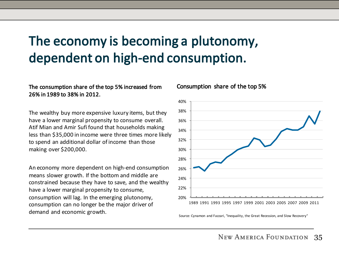### The economy is becoming a plutonomy, dependent on high-end consumption.

#### The consumption share of the top 5% increased from 26% in 1989 to 38% in 2012.

The wealthy buy more expensive luxury items, but they have a lower marginal propensity to consume overall. Atif Mian and Amir Sufi found that households making less than \$35,000 in income were three times more likely to spend an additional dollar of income than those making over \$200,000.

An economy more dependent on high-end consumption means slower growth. If the bottom and middle are constrained because they have to save, and the wealthy have a lower marginal propensity to consume, consumption will lag. In the emerging plutonomy, consumption can no longer be the major driver of demand and economic growth.

#### Consumption share of the top 5%



Source: Cynamon and Fazzari, "Inequality, the Great Recession, and Slow Recovery"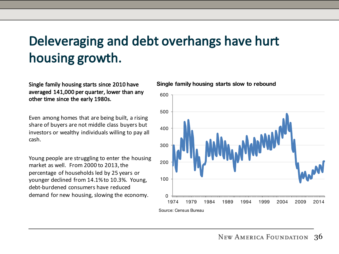# Deleveraging and debt overhangs have hurt housing growth.

Single family housing starts since 2010 have averaged 141,000 per quarter, lower than any other time since the early 1980s.

Even among homes that are being built, a rising share of buyers are not middle class buyers but investors or wealthy individuals willing to pay all cash. 

Young people are struggling to enter the housing market as well. From 2000 to 2013, the percentage of households led by 25 years or younger declined from 14.1% to 10.3%. Young, debt-burdened consumers have reduced demand for new housing, slowing the economy.

**Single family housing starts slow to rebound**

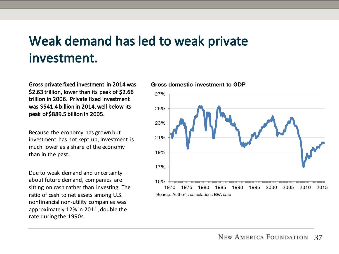#### Weak demand has led to weak private investment.

Gross private fixed investment in 2014 was \$2.63 trillion, lower than its peak of \$2.66 trillion in 2006. Private fixed investment was \$541.4 billion in 2014, well below its peak of \$889.5 billion in 2005.

Because the economy has grown but investment has not kept up, investment is much lower as a share of the economy than in the past.

Due to weak demand and uncertainty about future demand, companies are sitting on cash rather than investing. The ratio of cash to net assets among U.S. nonfinancial non-utility companies was approximately 12% in 2011, double the rate during the 1990s.

#### **Gross domestic investment to GDP**

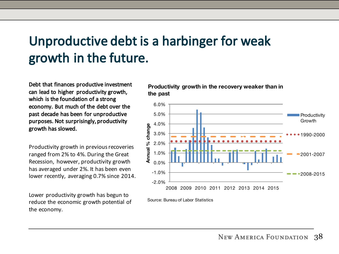# Unproductive debt is a harbinger for weak growth in the future.

Debt that finances productive investment can lead to higher productivity growth, which is the foundation of a strong economy. But much of the debt over the past decade has been for unproductive purposes. Not surprisingly, productivity growth has slowed.

Productivity growth in previous recoveries ranged from 2% to 4%. During the Great Recession, however, productivity growth has averaged under 2%. It has been even lower recently, averaging 0.7% since 2014.

Lower productivity growth has begun to reduce the economic growth potential of the economy.

**Productivity growth in the recovery weaker than in the past**



Source: Bureau of Labor Statistics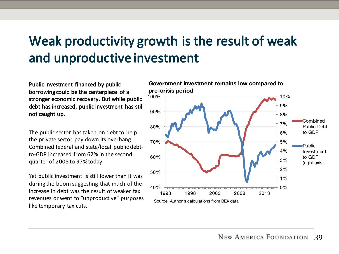# Weak productivity growth is the result of weak and unproductive investment

Public investment financed by public borrowing could be the centerpiece of a stronger economic recovery. But while public debt has increased, public investment has still not caught up.

The public sector has taken on debt to help the private sector pay down its overhang. Combined federal and state/local public debtto-GDP increased from 62% in the second quarter of 2008 to 97% today.

Yet public investment is still lower than it was during the boom suggesting that much of the increase in debt was the result of weaker tax revenues or went to "unproductive" purposes like temporary tax cuts.

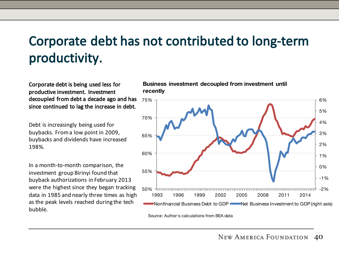# Corporate debt has not contributed to long-term productivity.

Corporate debt is being used less for productive investment. Investment decoupled from debt a decade ago and has since continued to lag the increase in debt.

Debt is increasingly being used for buybacks. From a low point in 2009, buybacks and dividends have increased 198%.

In a month-to-month comparison, the investment group Birinyi found that buyback authorizations in February 2013 were the highest since they began tracking data in 1985 and nearly three times as high as the peak levels reached during the tech bubble.

**Business investment decoupled from investment until recently**



Source: Author's calculations from BEA data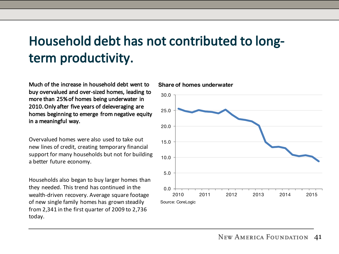## Household debt has not contributed to longterm productivity.

Much of the increase in household debt went to buy overvalued and over-sized homes, leading to more than 25% of homes being underwater in 2010. Only after five years of deleveraging are homes beginning to emerge from negative equity in a meaningful way.

Overvalued homes were also used to take out new lines of credit, creating temporary financial support for many households but not for building a better future economy.

Households also began to buy larger homes than they needed. This trend has continued in the wealth-driven recovery. Average square footage of new single family homes has grown steadily from 2,341 in the first quarter of 2009 to  $2,736$ today.



**Share of homes underwater**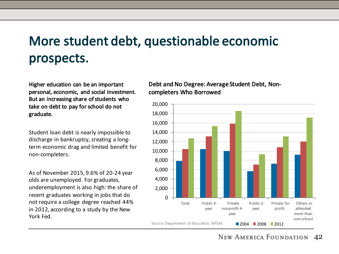# More student debt, questionable economic prospects.

Higher education can be an important personal, economic, and social investment. But an increasing share of students who take on debt to pay for school do not graduate.

Student loan debt is nearly impossible to discharge in bankruptcy, creating a longterm economic drag and limited benefit for non-completers.

As of November 2015, 9.6% of 20-24 year olds are unemployed. For graduates, underemployment is also high: the share of recent graduates working in jobs that do not require a college degree reached 44% in 2012, according to a study by the New York Fed.

#### Debt and No Degree: Average Student Debt, Noncompleters Who Borrowed

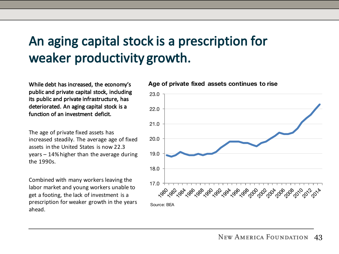### An aging capital stock is a prescription for weaker productivity growth.

While debt has increased, the economy's public and private capital stock, including its public and private infrastructure, has deteriorated. An aging capital stock is a function of an investment deficit.

The age of private fixed assets has increased steadily. The average age of fixed assets in the United States is now 22.3  $years - 14%$  higher than the average during the 1990s.

Combined with many workers leaving the labor market and young workers unable to get a footing, the lack of investment is a prescription for weaker growth in the years ahead.

**Age of private fixed assets continues to rise**